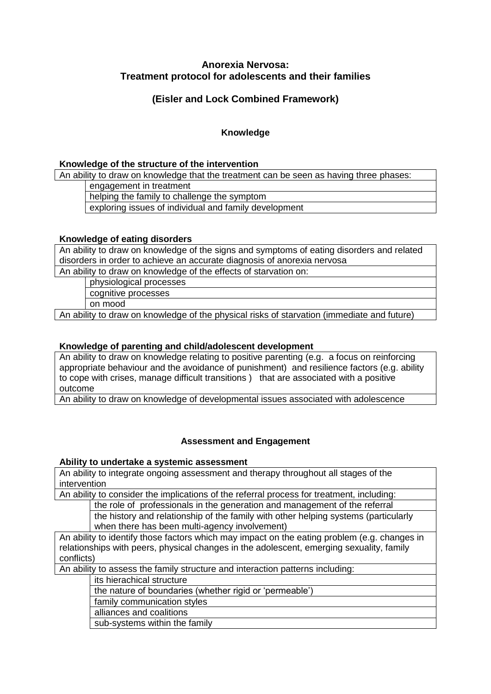# **Anorexia Nervosa: Treatment protocol for adolescents and their families**

# **(Eisler and Lock Combined Framework)**

## **Knowledge**

#### **Knowledge of the structure of the intervention**

An ability to draw on knowledge that the treatment can be seen as having three phases:

engagement in treatment

helping the family to challenge the symptom

exploring issues of individual and family development

#### **Knowledge of eating disorders**

An ability to draw on knowledge of the signs and symptoms of eating disorders and related disorders in order to achieve an accurate diagnosis of anorexia nervosa

An ability to draw on knowledge of the effects of starvation on:

physiological processes

cognitive processes

on mood

An ability to draw on knowledge of the physical risks of starvation (immediate and future)

### **Knowledge of parenting and child/adolescent development**

An ability to draw on knowledge relating to positive parenting (e.g. a focus on reinforcing appropriate behaviour and the avoidance of punishment) and resilience factors (e.g. ability to cope with crises, manage difficult transitions ) that are associated with a positive outcome

An ability to draw on knowledge of developmental issues associated with adolescence

# **Assessment and Engagement**

#### **Ability to undertake a systemic assessment**

An ability to integrate ongoing assessment and therapy throughout all stages of the intervention

An ability to consider the implications of the referral process for treatment, including:

the role of professionals in the generation and management of the referral

the history and relationship of the family with other helping systems (particularly when there has been multi-agency involvement)

An ability to identify those factors which may impact on the eating problem (e.g. changes in relationships with peers, physical changes in the adolescent, emerging sexuality, family conflicts)

An ability to assess the family structure and interaction patterns including:

its hierachical structure

the nature of boundaries (whether rigid or 'permeable')

family communication styles

alliances and coalitions

sub-systems within the family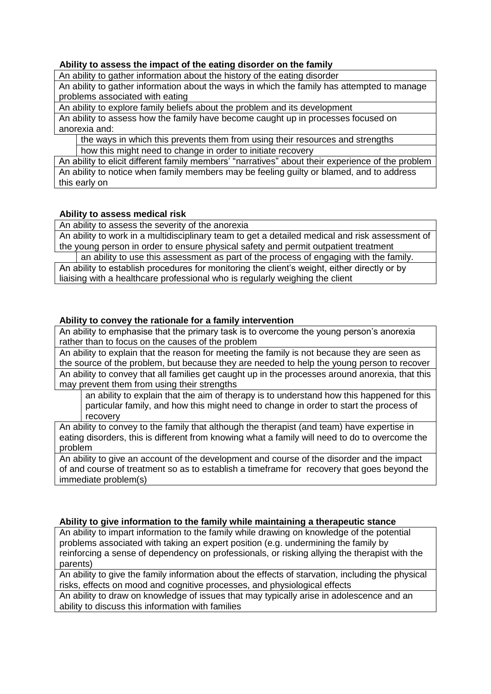#### **Ability to assess the impact of the eating disorder on the family**

An ability to gather information about the history of the eating disorder

An ability to gather information about the ways in which the family has attempted to manage problems associated with eating

An ability to explore family beliefs about the problem and its development

An ability to assess how the family have become caught up in processes focused on anorexia and:

the ways in which this prevents them from using their resources and strengths how this might need to change in order to initiate recovery

An ability to elicit different family members' "narratives" about their experience of the problem An ability to notice when family members may be feeling guilty or blamed, and to address this early on

#### **Ability to assess medical risk**

An ability to assess the severity of the anorexia

An ability to work in a multidisciplinary team to get a detailed medical and risk assessment of the young person in order to ensure physical safety and permit outpatient treatment

an ability to use this assessment as part of the process of engaging with the family. An ability to establish procedures for monitoring the client's weight, either directly or by liaising with a healthcare professional who is regularly weighing the client

#### **Ability to convey the rationale for a family intervention**

An ability to emphasise that the primary task is to overcome the young person's anorexia rather than to focus on the causes of the problem

An ability to explain that the reason for meeting the family is not because they are seen as the source of the problem, but because they are needed to help the young person to recover An ability to convey that all families get caught up in the processes around anorexia, that this may prevent them from using their strengths

an ability to explain that the aim of therapy is to understand how this happened for this particular family, and how this might need to change in order to start the process of recovery

An ability to convey to the family that although the therapist (and team) have expertise in eating disorders, this is different from knowing what a family will need to do to overcome the problem

An ability to give an account of the development and course of the disorder and the impact of and course of treatment so as to establish a timeframe for recovery that goes beyond the immediate problem(s)

#### **Ability to give information to the family while maintaining a therapeutic stance**

An ability to impart information to the family while drawing on knowledge of the potential problems associated with taking an expert position (e.g. undermining the family by reinforcing a sense of dependency on professionals, or risking allying the therapist with the parents)

An ability to give the family information about the effects of starvation, including the physical risks, effects on mood and cognitive processes, and physiological effects

An ability to draw on knowledge of issues that may typically arise in adolescence and an ability to discuss this information with families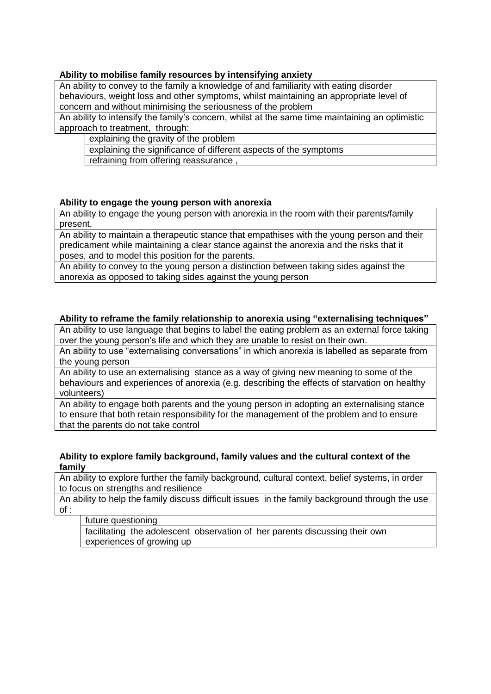## **Ability to mobilise family resources by intensifying anxiety**

An ability to convey to the family a knowledge of and familiarity with eating disorder behaviours, weight loss and other symptoms, whilst maintaining an appropriate level of concern and without minimising the seriousness of the problem

An ability to intensify the family's concern, whilst at the same time maintaining an optimistic approach to treatment, through:

explaining the gravity of the problem

explaining the significance of different aspects of the symptoms

refraining from offering reassurance ,

#### **Ability to engage the young person with anorexia**

An ability to engage the young person with anorexia in the room with their parents/family present.

An ability to maintain a therapeutic stance that empathises with the young person and their predicament while maintaining a clear stance against the anorexia and the risks that it poses, and to model this position for the parents.

An ability to convey to the young person a distinction between taking sides against the anorexia as opposed to taking sides against the young person

#### **Ability to reframe the family relationship to anorexia using "externalising techniques"**

An ability to use language that begins to label the eating problem as an external force taking over the young person's life and which they are unable to resist on their own.

An ability to use "externalising conversations" in which anorexia is labelled as separate from the young person

An ability to use an externalising stance as a way of giving new meaning to some of the behaviours and experiences of anorexia (e.g. describing the effects of starvation on healthy volunteers)

An ability to engage both parents and the young person in adopting an externalising stance to ensure that both retain responsibility for the management of the problem and to ensure that the parents do not take control

#### **Ability to explore family background, family values and the cultural context of the family**

An ability to explore further the family background, cultural context, belief systems, in order to focus on strengths and resilience

An ability to help the family discuss difficult issues in the family background through the use of :

#### future questioning

facilitating the adolescent observation of her parents discussing their own experiences of growing up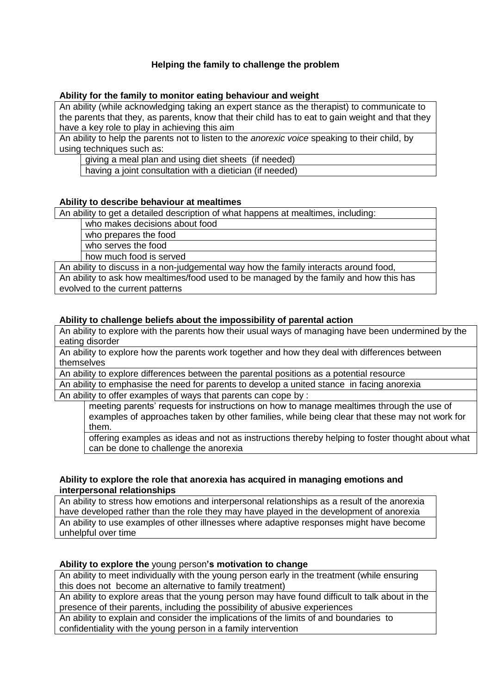## **Helping the family to challenge the problem**

#### **Ability for the family to monitor eating behaviour and weight**

An ability (while acknowledging taking an expert stance as the therapist) to communicate to the parents that they, as parents, know that their child has to eat to gain weight and that they have a key role to play in achieving this aim

An ability to help the parents not to listen to the *anorexic voice* speaking to their child, by using techniques such as:

giving a meal plan and using diet sheets (if needed)

having a joint consultation with a dietician (if needed)

#### **Ability to describe behaviour at mealtimes**

An ability to get a detailed description of what happens at mealtimes, including:

who makes decisions about food who prepares the food

who serves the food

how much food is served

An ability to discuss in a non-judgemental way how the family interacts around food, An ability to ask how mealtimes/food used to be managed by the family and how this has evolved to the current patterns

## **Ability to challenge beliefs about the impossibility of parental action**

An ability to explore with the parents how their usual ways of managing have been undermined by the eating disorder

An ability to explore how the parents work together and how they deal with differences between themselves

An ability to explore differences between the parental positions as a potential resource

An ability to emphasise the need for parents to develop a united stance in facing anorexia An ability to offer examples of ways that parents can cope by :

meeting parents' requests for instructions on how to manage mealtimes through the use of examples of approaches taken by other families, while being clear that these may not work for them.

offering examples as ideas and not as instructions thereby helping to foster thought about what can be done to challenge the anorexia

#### **Ability to explore the role that anorexia has acquired in managing emotions and interpersonal relationships**

An ability to stress how emotions and interpersonal relationships as a result of the anorexia have developed rather than the role they may have played in the development of anorexia An ability to use examples of other illnesses where adaptive responses might have become unhelpful over time

#### **Ability to explore the** young person**'s motivation to change**

An ability to meet individually with the young person early in the treatment (while ensuring this does not become an alternative to family treatment)

An ability to explore areas that the young person may have found difficult to talk about in the presence of their parents, including the possibility of abusive experiences

An ability to explain and consider the implications of the limits of and boundaries to confidentiality with the young person in a family intervention